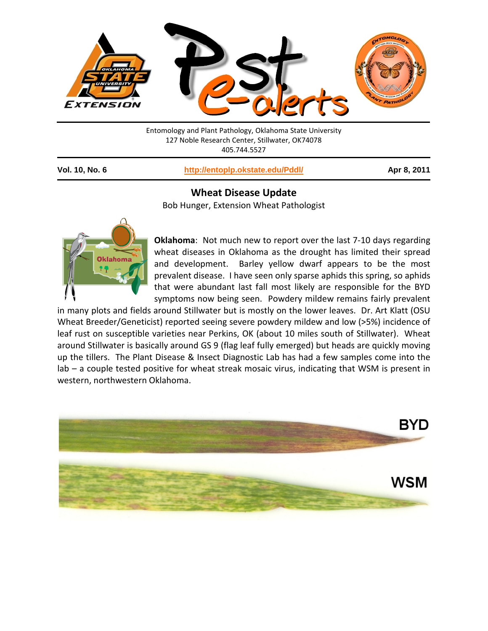

Entomology and Plant Pathology, Oklahoma State University 127 Noble Research Center, Stillwater, OK74078 405.744.5527

**Vol. 10, No. 6 <http://entoplp.okstate.edu/Pddl/> Apr 8, 2011**

## **Wheat Disease Update**

Bob Hunger, Extension Wheat Pathologist



**Oklahoma**: Not much new to report over the last 7-10 days regarding wheat diseases in Oklahoma as the drought has limited their spread and development. Barley yellow dwarf appears to be the most prevalent disease. I have seen only sparse aphids this spring, so aphids that were abundant last fall most likely are responsible for the BYD symptoms now being seen. Powdery mildew remains fairly prevalent

in many plots and fields around Stillwater but is mostly on the lower leaves. Dr. Art Klatt (OSU Wheat Breeder/Geneticist) reported seeing severe powdery mildew and low (>5%) incidence of leaf rust on susceptible varieties near Perkins, OK (about 10 miles south of Stillwater). Wheat around Stillwater is basically around GS 9 (flag leaf fully emerged) but heads are quickly moving up the tillers. The Plant Disease & Insect Diagnostic Lab has had a few samples come into the lab – a couple tested positive for wheat streak mosaic virus, indicating that WSM is present in western, northwestern Oklahoma.

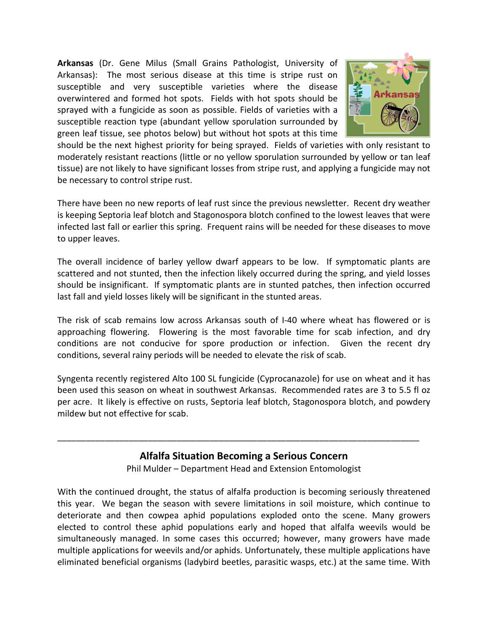**Arkansas** (Dr. Gene Milus (Small Grains Pathologist, University of Arkansas): The most serious disease at this time is stripe rust on susceptible and very susceptible varieties where the disease overwintered and formed hot spots. Fields with hot spots should be sprayed with a fungicide as soon as possible. Fields of varieties with a susceptible reaction type (abundant yellow sporulation surrounded by green leaf tissue, see photos below) but without hot spots at this time



should be the next highest priority for being sprayed. Fields of varieties with only resistant to moderately resistant reactions (little or no yellow sporulation surrounded by yellow or tan leaf tissue) are not likely to have significant losses from stripe rust, and applying a fungicide may not be necessary to control stripe rust.

There have been no new reports of leaf rust since the previous newsletter. Recent dry weather is keeping Septoria leaf blotch and Stagonospora blotch confined to the lowest leaves that were infected last fall or earlier this spring. Frequent rains will be needed for these diseases to move to upper leaves.

The overall incidence of barley yellow dwarf appears to be low. If symptomatic plants are scattered and not stunted, then the infection likely occurred during the spring, and yield losses should be insignificant. If symptomatic plants are in stunted patches, then infection occurred last fall and yield losses likely will be significant in the stunted areas.

The risk of scab remains low across Arkansas south of I-40 where wheat has flowered or is approaching flowering. Flowering is the most favorable time for scab infection, and dry conditions are not conducive for spore production or infection. Given the recent dry conditions, several rainy periods will be needed to elevate the risk of scab.

Syngenta recently registered Alto 100 SL fungicide (Cyprocanazole) for use on wheat and it has been used this season on wheat in southwest Arkansas. Recommended rates are 3 to 5.5 fl oz per acre. It likely is effective on rusts, Septoria leaf blotch, Stagonospora blotch, and powdery mildew but not effective for scab.

## **Alfalfa Situation Becoming a Serious Concern**

\_\_\_\_\_\_\_\_\_\_\_\_\_\_\_\_\_\_\_\_\_\_\_\_\_\_\_\_\_\_\_\_\_\_\_\_\_\_\_\_\_\_\_\_\_\_\_\_\_\_\_\_\_\_\_\_\_\_\_\_\_\_\_\_\_\_\_\_\_\_\_\_\_\_\_\_

Phil Mulder – Department Head and Extension Entomologist

With the continued drought, the status of alfalfa production is becoming seriously threatened this year. We began the season with severe limitations in soil moisture, which continue to deteriorate and then cowpea aphid populations exploded onto the scene. Many growers elected to control these aphid populations early and hoped that alfalfa weevils would be simultaneously managed. In some cases this occurred; however, many growers have made multiple applications for weevils and/or aphids. Unfortunately, these multiple applications have eliminated beneficial organisms (ladybird beetles, parasitic wasps, etc.) at the same time. With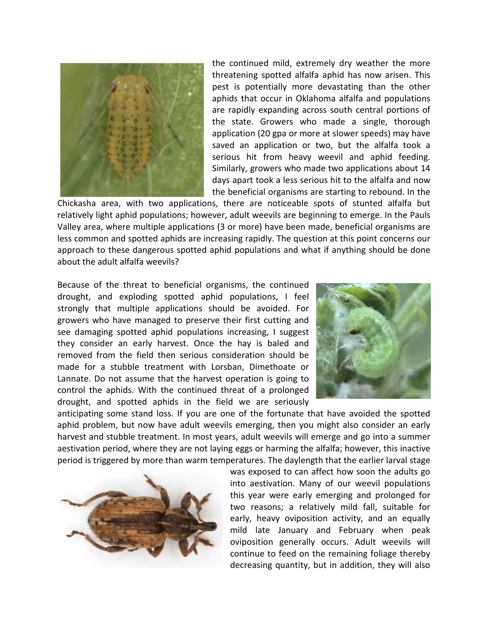

the continued mild, extremely dry weather the more threatening spotted alfalfa aphid has now arisen. This pest is potentially more devastating than the other aphids that occur in Oklahoma alfalfa and populations are rapidly expanding across south central portions of the state. Growers who made a single, thorough application (20 gpa or more at slower speeds) may have saved an application or two, but the alfalfa took a serious hit from heavy weevil and aphid feeding. Similarly, growers who made two applications about 14 days apart took a less serious hit to the alfalfa and now the beneficial organisms are starting to rebound. In the

Chickasha area, with two applications, there are noticeable spots of stunted alfalfa but relatively light aphid populations; however, adult weevils are beginning to emerge. In the Pauls Valley area, where multiple applications (3 or more) have been made, beneficial organisms are less common and spotted aphids are increasing rapidly. The question at this point concerns our approach to these dangerous spotted aphid populations and what if anything should be done about the adult alfalfa weevils?

Because of the threat to beneficial organisms, the continued drought, and exploding spotted aphid populations, I feel strongly that multiple applications should be avoided. For growers who have managed to preserve their first cutting and see damaging spotted aphid populations increasing, I suggest they consider an early harvest. Once the hay is baled and removed from the field then serious consideration should be made for a stubble treatment with Lorsban, Dimethoate or Lannate. Do not assume that the harvest operation is going to control the aphids. With the continued threat of a prolonged drought, and spotted aphids in the field we are seriously



anticipating some stand loss. If you are one of the fortunate that have avoided the spotted aphid problem, but now have adult weevils emerging, then you might also consider an early harvest and stubble treatment. In most years, adult weevils will emerge and go into a summer aestivation period, where they are not laying eggs or harming the alfalfa; however, this inactive period is triggered by more than warm temperatures. The daylength that the earlier larval stage



was exposed to can affect how soon the adults go into aestivation. Many of our weevil populations this year were early emerging and prolonged for two reasons; a relatively mild fall, suitable for early, heavy oviposition activity, and an equally mild late January and February when peak oviposition generally occurs. Adult weevils will continue to feed on the remaining foliage thereby decreasing quantity, but in addition, they will also